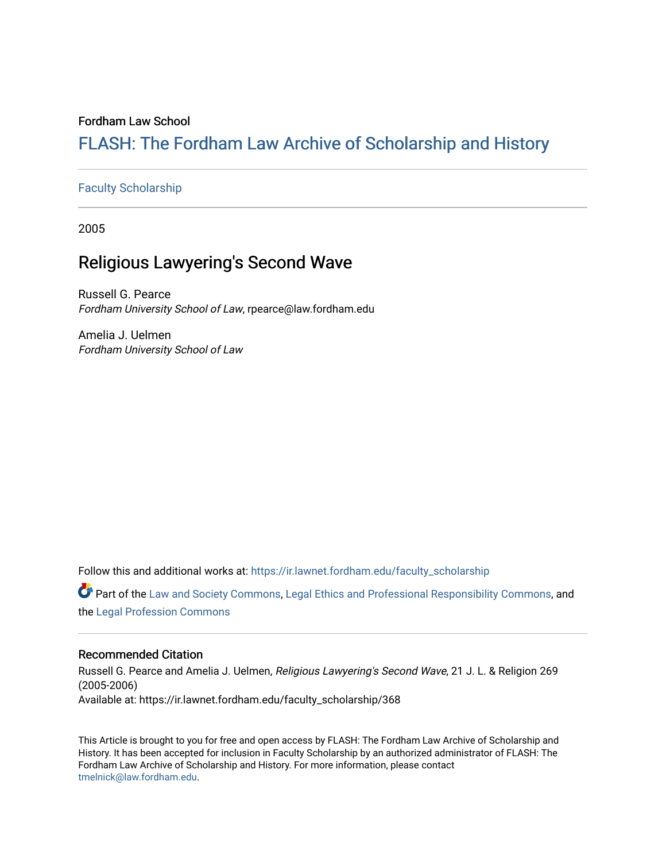## Fordham Law School

# FLASH: The For[dham Law Archive of Scholarship and Hist](https://ir.lawnet.fordham.edu/)ory

## [Faculty Scholarship](https://ir.lawnet.fordham.edu/faculty_scholarship)

2005

# Religious Lawyering's Second Wave

Russell G. Pearce Fordham University School of Law, rpearce@law.fordham.edu

Amelia J. Uelmen Fordham University School of Law

Follow this and additional works at: [https://ir.lawnet.fordham.edu/faculty\\_scholarship](https://ir.lawnet.fordham.edu/faculty_scholarship?utm_source=ir.lawnet.fordham.edu%2Ffaculty_scholarship%2F368&utm_medium=PDF&utm_campaign=PDFCoverPages)

Part of the [Law and Society Commons](http://network.bepress.com/hgg/discipline/853?utm_source=ir.lawnet.fordham.edu%2Ffaculty_scholarship%2F368&utm_medium=PDF&utm_campaign=PDFCoverPages), [Legal Ethics and Professional Responsibility Commons,](http://network.bepress.com/hgg/discipline/895?utm_source=ir.lawnet.fordham.edu%2Ffaculty_scholarship%2F368&utm_medium=PDF&utm_campaign=PDFCoverPages) and the [Legal Profession Commons](http://network.bepress.com/hgg/discipline/1075?utm_source=ir.lawnet.fordham.edu%2Ffaculty_scholarship%2F368&utm_medium=PDF&utm_campaign=PDFCoverPages) 

## Recommended Citation

Russell G. Pearce and Amelia J. Uelmen, Religious Lawyering's Second Wave, 21 J. L. & Religion 269 (2005-2006) Available at: https://ir.lawnet.fordham.edu/faculty\_scholarship/368

This Article is brought to you for free and open access by FLASH: The Fordham Law Archive of Scholarship and History. It has been accepted for inclusion in Faculty Scholarship by an authorized administrator of FLASH: The Fordham Law Archive of Scholarship and History. For more information, please contact [tmelnick@law.fordham.edu](mailto:tmelnick@law.fordham.edu).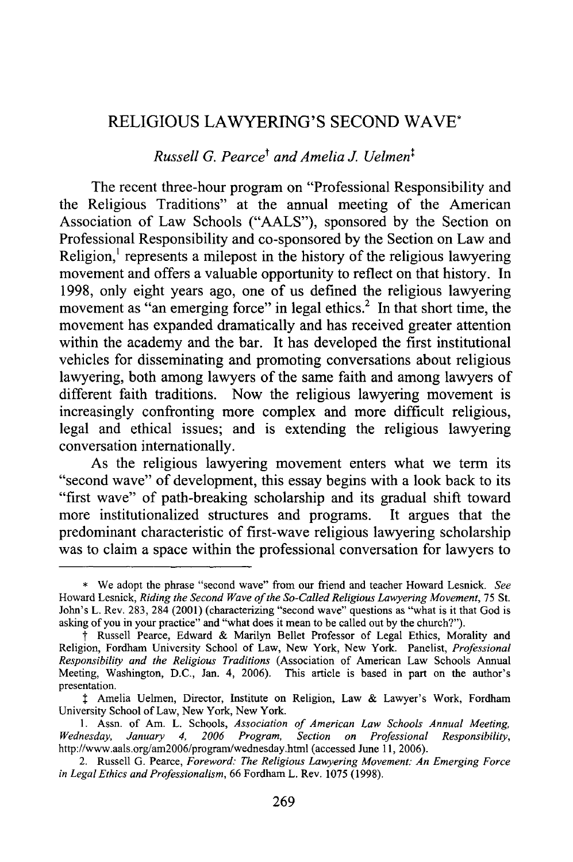# RELIGIOUS LAWYERING'S SECOND WAVE\*

#### *Russell G. Pearce*<sup>†</sup> and Amelia J. Uelmen<sup>‡</sup>

The recent three-hour program on "Professional Responsibility and the Religious Traditions" at the annual meeting of the American Association of Law Schools ("AALS"), sponsored by the Section on Professional Responsibility and co-sponsored by the Section on Law and Religion, $<sup>1</sup>$  represents a milepost in the history of the religious lawyering</sup> movement and offers a valuable opportunity to reflect on that history. In 1998, only eight years ago, one of us defined the religious lawyering movement as "an emerging force" in legal ethics.<sup>2</sup> In that short time, the movement has expanded dramatically and has received greater attention within the academy and the bar. It has developed the first institutional vehicles for disseminating and promoting conversations about religious lawyering, both among lawyers of the same faith and among lawyers of different faith traditions. Now the religious lawyering movement is increasingly confronting more complex and more difficult religious, legal and ethical issues; and is extending the religious lawyering conversation internationally.

As the religious lawyering movement enters what we term its "second wave" of development, this essay begins with a look back to its "first wave" of path-breaking scholarship and its gradual shift toward more institutionalized structures and programs. It argues that the predominant characteristic of first-wave religious lawyering scholarship was to claim a space within the professional conversation for lawyers to

<sup>\*</sup> We adopt the phrase "second wave" from our friend and teacher Howard Lesnick. *See* Howard Lesnick, *Riding the Second Wave of the So-Called Religious Lawyering Movement,* 75 St. John's L. Rev. 283, 284 (2001) (characterizing "second wave" questions as "what is it that God is asking of you in your practice" and "what does it mean to be called out by the church?").

*t* Russell Pearce, Edward & Marilyn Bellet Professor of Legal Ethics, Morality and Religion, Fordham University School of Law, New York, New York. Panelist, *Professional Responsibility and the Religious Traditions* (Association of American Law Schools Annual Meeting, Washington, D.C., Jan. 4, 2006). This article is based in part on the author's presentation.

**I** Amelia Uelmen, Director, Institute on Religion, Law & Lawyer's Work, Fordham University School of Law, New York, New York.

<sup>1.</sup> Assn. of Am. L. Schools, *Association of American Law Schools Annual Meeting, Wednesday, January 4, 2006 Program, Section on Professional Responsibility,* http://www.aals.org/am2006/program/wednesday.html (accessed June 11, 2006).

<sup>2.</sup> Russell G. Pearce, *Foreword: The Religious Lawyering Movement: An Emerging Force in Legal Ethics and Professionalism,* 66 Fordham L. Rev. 1075 (1998).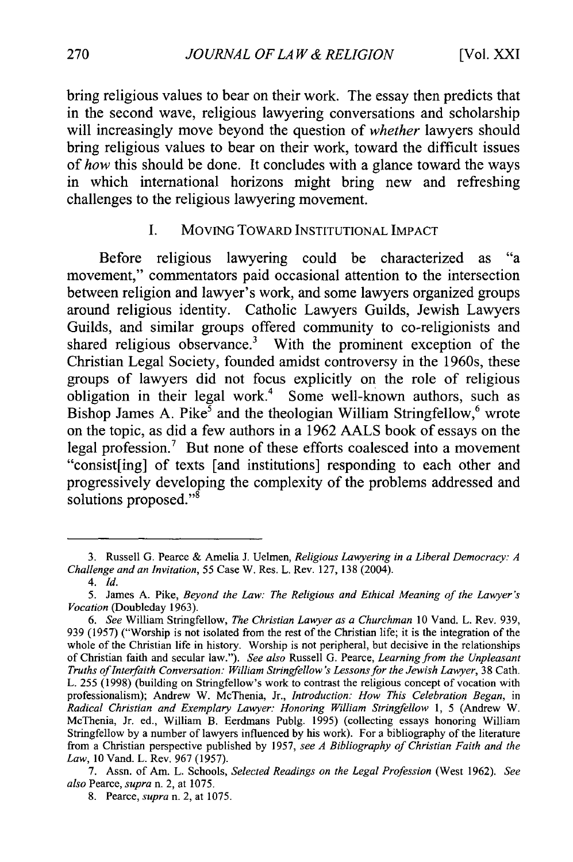bring religious values to bear on their work. The essay then predicts that in the second wave, religious lawyering conversations and scholarship will increasingly move beyond the question of *whether* lawyers should bring religious values to bear on their work, toward the difficult issues of *how* this should be done. It concludes with a glance toward the ways in which international horizons might bring new and refreshing challenges to the religious lawyering movement.

#### I. MOVING TOWARD INSTITUTIONAL IMPACT

Before religious lawyering could be characterized as "a movement," commentators paid occasional attention to the intersection between religion and lawyer's work, and some lawyers organized groups around religious identity. Catholic Lawyers Guilds, Jewish Lawyers Guilds, and similar groups offered community to co-religionists and shared religious observance.<sup>3</sup> With the prominent exception of the Christian Legal Society, founded amidst controversy in the 1960s, these groups of lawyers did not focus explicitly on the role of religious obligation in their legal work.<sup>4</sup> Some well-known authors, such as Bishop James A. Pike<sup>5</sup> and the theologian William Stringfellow,<sup>6</sup> wrote on the topic, as did a few authors in a **1962 AALS** book of essays on the legal profession.<sup>7</sup> But none of these efforts coalesced into a movement "consist[ing] of texts [and institutions] responding to each other and progressively developing the complexity of the problems addressed and solutions proposed."<sup>8</sup>

<sup>3.</sup> Russell G. Pearce & Amelia J. Uelmen, *Religious Lawyering in a Liberal Democracy: A* Challenge and an Invitation, *55* Case W. Res. L. Rev. 127, 138 (2004).

<sup>4.</sup> Id.

<sup>5.</sup> James A. Pike, Beyond the Law: The Religious and Ethical Meaning of the Lawyer's *Vocation* (Doubleday 1963).

*<sup>6.</sup> See* William Stringfellow, *The Christian Lawyer as a Churchman* 10 Vand. L. Rev. 939, 939 (1957) ("Worship is not isolated from the rest of the Christian life; it is the integration of the whole of the Christian life in history. Worship is not peripheral, but decisive in the relationships of Christian faith and secular law."). *See also* Russell **G.** Pearce, *Learning from the Unpleasant Truths of Interfaith Conversation: William Stringfellow's Lessons for the Jewish Lawyer,* 38 Cath. L. 255 (1998) (building on Stringfellow's work to contrast the religious concept of vocation with professionalism); Andrew W. McThenia, Jr., *Introduction: How This Celebration Began,* in Radical *Christian and Exemplary Lawyer: Honoring William Stringfellow* 1, 5 (Andrew W. McThenia, Jr. ed., William B. Eerdmans Publg. 1995) (collecting essays honoring William Stringfellow by a number of lawyers influenced **by** his work). For a bibliography of the literature from a Christian perspective published by 1957, *see A Bibliography of Christian Faith and the Law,* 10 Vand. L. Rev. 967 (1957).

<sup>7.</sup> Assn. of Am. L. Schools, Selected Readings on the Legal *Profession* (West 1962). *See* also Pearce, supra n. 2, at 1075.

<sup>8.</sup> Pearce, supra n. 2, at 1075.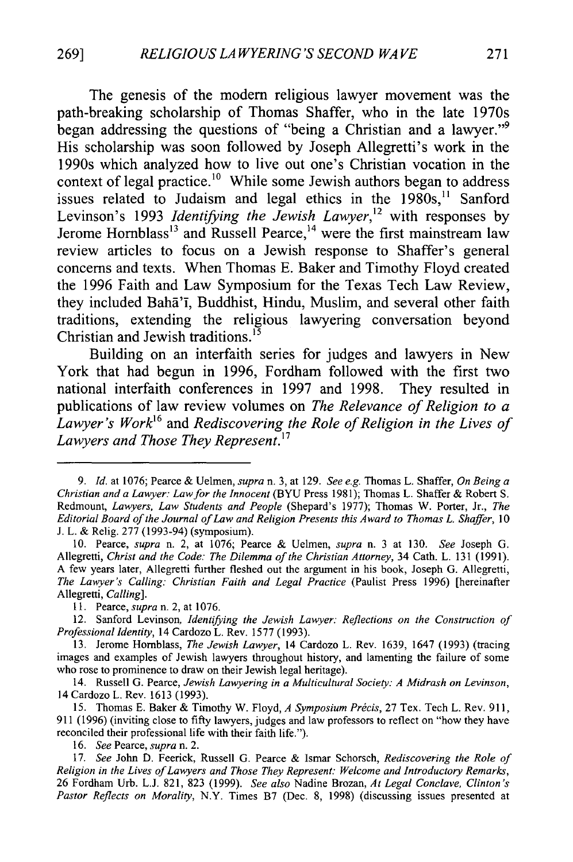The genesis of the modem religious lawyer movement was the path-breaking scholarship of Thomas Shaffer, who in the late 1970s began addressing the questions of "being a Christian and a lawyer."9 His scholarship was soon followed **by** Joseph Allegretti's work in the 1990s which analyzed how to live out one's Christian vocation in the context of legal practice.<sup>10</sup> While some Jewish authors began to address issues related to Judaism and legal ethics in the  $1980s$ ,<sup>11</sup> Sanford Levinson's **1993** *Identifying the Jewish Lawyer,12* with responses **by** Jerome Hornblass<sup>13</sup> and Russell Pearce,<sup>14</sup> were the first mainstream law review articles to focus on a Jewish response to Shaffer's general concerns and texts. When Thomas **E.** Baker and Timothy Floyd created the **1996** Faith and Law Symposium for the Texas Tech Law Review, they included Bahā'ī, Buddhist, Hindu, Muslim, and several other faith traditions, extending the religious lawyering conversation beyond Christian and Jewish traditions.<sup>15</sup>

Building on an interfaith series for judges and lawyers in New York that had begun in **1996,** Fordham followed with the first two national interfaith conferences in **1997** and **1998.** They resulted in publications of law review volumes on *The Relevance of Religion to a Lawyer's Work16* and *Rediscovering the Role of Religion in the Lives of Lawyers and Those They Represent.17*

**2691**

<sup>9.</sup> Id. at 1076; Pearce & Uelmen, supra n. 3, at 129. See e.g. Thomas L. Shaffer, On Being a Christian and a Lawyer: Law for the Innocent (BYU Press 1981); Thomas L. Shaffer & Robert S. Redmount, Lawyers, Law Students and People (Shepard's 1977); Thomas W. Porter, Jr., The Editorial Board of the Journal of Law and Religion Presents this Award to Thomas L. Shaffer, **10** J. L. & Relig. 277 (1993-94) (symposium).

<sup>10.</sup> Pearce, supra n. 2, at 1076; Pearce & Uelmen, supra n. 3 at 130. See Joseph G. Allegretti, Christ and the Code. The Dilemma of the Christian Attorney, 34 Cath. L. 131 (1991). A few years later, Allegretti further fleshed out the argument in his book, Joseph G. Allegretti, The Lawyer's Calling: Christian Faith and Legal Practice (Paulist Press 1996) [hereinafter Allegretti, Calling].

<sup>11.</sup> Pearce, supra n. 2, at 1076.

<sup>12.</sup> Sanford Levinson, Identifying the Jewish Lawyer: Reflections on the Construction of Professional Identity, 14 Cardozo L. Rev. 1577 (1993).

<sup>13.</sup> Jerome Hornblass, The Jewish Lawyer, 14 Cardozo L. Rev. 1639, 1647 (1993) (tracing images and examples of Jewish lawyers throughout history, and lamenting the failure of some who rose to prominence to draw on their Jewish legal heritage).

<sup>14.</sup> Russell G. Pearce, Jewish Lawyering in a Multicultural Society: A Midrash on Levinson, 14 Cardozo L. Rev. 1613 (1993).

<sup>15.</sup> Thomas E. Baker & Timothy W. Floyd, A Symposium Précis, 27 Tex. Tech L. Rev. 911, 911 (1996) (inviting close to fifty lawyers, judges and law professors to reflect on "how they have reconciled their professional life with their faith life.").

*<sup>16.</sup>* See Pearce, supra n. 2.

<sup>17.</sup> See John D. Feerick, Russell G. Pearce & Ismar Schorsch, Rediscovering the Role of Religion in the Lives of Lawyers and Those They Represent: Welcome and Introductory Remarks, 26 Fordham Urb. L.J. 821, 823 (1999). See also Nadine Brozan, At Legal Conclave, Clinton's Pastor Reflects on Morality, N.Y. Times B7 (Dec. 8, 1998) (discussing issues presented at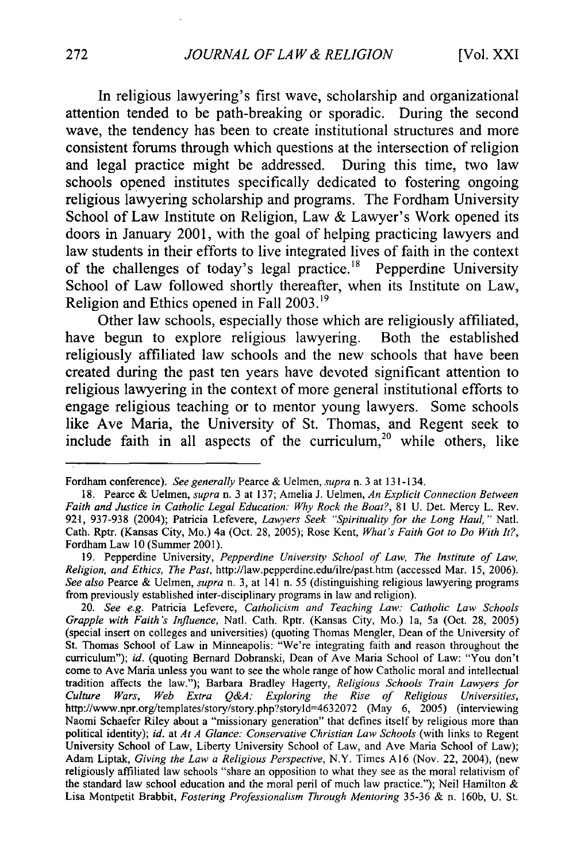In religious lawyering's first wave, scholarship and organizational attention tended to be path-breaking or sporadic. During the second wave, the tendency has been to create institutional structures and more consistent forums through which questions at the intersection of religion and legal practice might be addressed. During this time, two law schools opened institutes specifically dedicated to fostering ongoing religious lawyering scholarship and programs. The Fordham University School of Law Institute on Religion, Law **&** Lawyer's Work opened its doors in January 2001, with the goal of helping practicing lawyers and law students in their efforts to live integrated lives of faith in the context of the challenges of today's legal practice.<sup>18</sup> Pepperdine University School of Law followed shortly thereafter, when its Institute on Law, Religion and Ethics opened in Fall **2003.19**

Other law schools, especially those which are religiously affiliated, have begun to explore religious lawyering. Both the established religiously affiliated law schools and the new schools that have been created during the past ten years have devoted significant attention to religious lawyering in the context of more general institutional efforts to engage religious teaching or to mentor young lawyers. Some schools like Ave Maria, the University of St. Thomas, and Regent seek to include faith in all aspects of the curriculum,<sup>20</sup> while others, like

Fordham conference). *See generally* Pearce & Uelmen, *supra* n. 3 at 131-134.

<sup>18.</sup> Pearce & Uelmen, *supra* n. 3 at 137; Amelia J. Uelmen, *An Explicit Connection Between Faith and Justice in Catholic Legal Education: Why Rock the Boat?,* 81 U. Det. Mercy L. Rev. 92.1, 937-938 (2004); Patricia Lefevere, *Lawyers Seek "Spirituality for the Long Haul, "* Natil. Cath. Rptr. (Kansas City, Mo.) 4a (Oct. 28, 2005); Rose Kent, *What's Faith Got to Do With It?,* Fordham Law 10 (Summer 2001).

<sup>19.</sup> Pepperdine University, *Pepperdine University School of Law, The Institute of Law, Religion, and Ethics, The Past,* http://law.pepperdine.edu/ilre/past.htm (accessed Mar. 15, 2006). *See also* Pearce & Uelmen, *supra* n. 3, at 141 n. 55 (distinguishing religious lawyering programs from previously established inter-disciplinary programs in law and religion).

<sup>20.</sup> *See e.g.* Patricia Lefevere, *Catholicism and Teaching Law: Catholic Law Schools Grapple with Faith's Influence,* Natl. Cath. Rptr. (Kansas City, Mo.) la, 5a (Oct. 28, 2005) (special insert on colleges and universities) (quoting Thomas Mengler, Dean of the University of St. Thomas School of Law in Minneapolis: "We're integrating faith and reason throughout the curriculum"); *id.* (quoting Bernard Dobranski, Dean of Ave Maria School of Law: "You don't come to Ave Maria unless you want to see the whole range of how Catholic moral and intellectual tradition affects the law."); Barbara Bradley Hagerty, *Religious Schools Train Lawyers for Culture Wars, Web Extra Q&A: Exploring the Rise of Religious Universities,* http://www.npr.org/templates/story/story.php?storyld=4632072 (May 6, 2005) (interviewing Naomi Schaefer Riley about a "missionary generation" that defines itself by religious more than political identity); *id.* at *At A Glance: Conservative Christian Law Schools* (with links to Regent University School of Law, Liberty University School of Law, and Ave Maria School of Law); Adam Liptak, *Giving the Law a Religious Perspective,* N.Y. Times A 16 (Nov. 22, 2004), (new religiously affiliated law schools "share an opposition to what they see as the moral relativism of the standard law school education and the moral peril of much law practice."); Neil Hamilton & Lisa Montpetit Brabbit, *Fostering Professionalism Through Mentoring* 35-36 & n. 160b, U. St.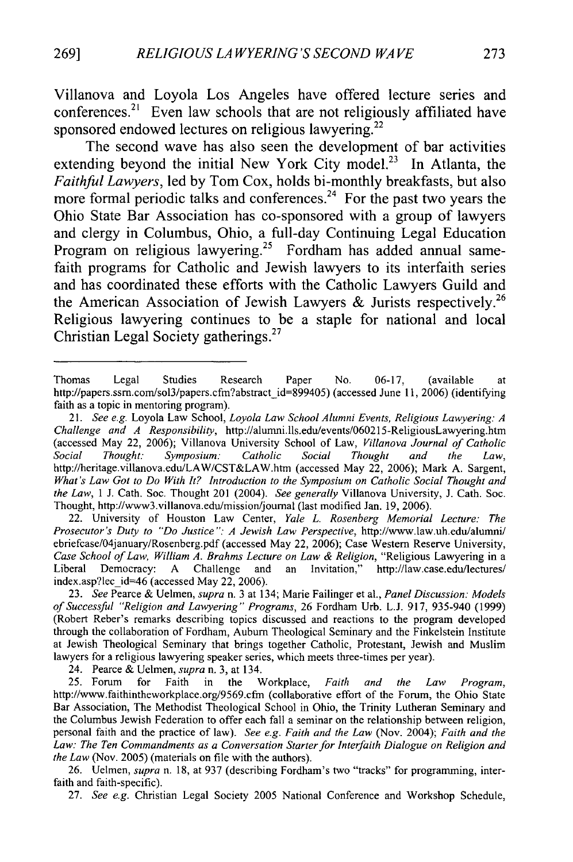273

Villanova and Loyola Los Angeles have offered lecture series and conferences. $21$  Even law schools that are not religiously affiliated have sponsored endowed lectures on religious lawyering.<sup>22</sup>

The second wave has also seen the development of bar activities extending beyond the initial New York City model.<sup>23</sup> In Atlanta, the *Faithful Lawyers,* led **by** Tom Cox, holds bi-monthly breakfasts, but also more formal periodic talks and conferences.<sup>24</sup> For the past two years the Ohio State Bar Association has co-sponsored with a group of lawyers and clergy in Columbus, Ohio, a full-day Continuing Legal Education Program on religious lawyering.<sup>25</sup> Fordham has added annual samefaith programs for Catholic and Jewish lawyers to its interfaith series and has coordinated these efforts with the Catholic Lawyers Guild and the American Association of Jewish Lawyers **&** Jurists respectively.26 Religious lawyering continues to be a staple for national and local Christian Legal Society gatherings.27

22. University of Houston Law Center, *Yale L. Rosenberg Memorial Lecture: The Prosecutor's Duty to "Do Justice": A Jewish Law Perspective,* http://www.law.uh.edu/alumni/ ebriefcase/04january/Rosenberg.pdf (accessed May 22, 2006); Case Western Reserve University, *Case School of Law, William A. Brahms Lecture on Law & Religion,* "Religious Lawyering in a Liberal Democracy: A Challenge and an Invitation," http://law.case.edu/lectures/ index.asp?lec  $id = 46$  (accessed May 22, 2006).

23. *See* Pearce & Uelmen, *supra* n. 3 at 134; Marie Failinger et al., *Panel Discussion: Models of Successful "Religion and Lawyering" Programs,* 26 Fordham Urb. L.J. 917, 935-940 (1999) (Robert Reber's remarks describing topics discussed and reactions to the program developed through the collaboration of Fordham, Auburn Theological Seminary and the Finkelstein Institute at Jewish Theological Seminary that brings together Catholic, Protestant, Jewish and Muslim lawyers for a religious lawyering speaker series, which meets three-times per year).

24. Pearce & Uelmen, *supra* n. 3, at 134.

25. Forum for Faith in the Workplace, *Faith* and *the Law Program,* http://www.faithintheworkplace.org/9569.cfm (collaborative effort of the Forum, the Ohio State Bar Association, The Methodist Theological School in Ohio, the Trinity Lutheran Seminary and the Columbus Jewish Federation to offer each fall a seminar on the relationship between religion, personal faith and the practice of law). *See e.g. Faith and the Law* (Nov. 2004); *Faith and the Law: The Ten Commandments as a Conversation Starter for Interfaith Dialogue on Religion and the Law* (Nov. 2005) (materials on file with the authors).

26. Uelmen, *supra* n. 18, at 937 (describing Fordham's two "tracks" for programming, interfaith and faith-specific).

27. *See e.g.* Christian Legal Society 2005 National Conference and Workshop Schedule,

Thomas Legal Studies Research Paper No. 06-17, (available at http://papers.ssrn.com/sol3/papers.cfm?abstract id=899405) (accessed June 11, 2006) (identifying faith as a topic in mentoring program).

<sup>21.</sup> *See e.g.* Loyola Law School, *Loyola Law School Alumni Events, Religious Lawyering: A Challenge and A Responsibility,* http://alumni.Ils.edu/events/060215-ReligiousLawyering.htm (accessed May 22, 2006); Villanova University School of Law, *Villanova Journal of Catholic Social* Thought: *Symposium: Catholic Social* Thought and *the Law,* http://heritage.villanova.edu/LAW/CST&LAW.htm (accessed May 22, 2006); Mark A. Sargent, *What's Law Got to Do With It? Introduction to the Symposium on Catholic Social Thought and the Law,* 1 J. Cath. Soc. Thought 201 (2004). *See generally* Villanova University, J. Cath. Soc. Thought, http://www3.villanova.edu/mission/joumal (last modified Jan. 19, 2006).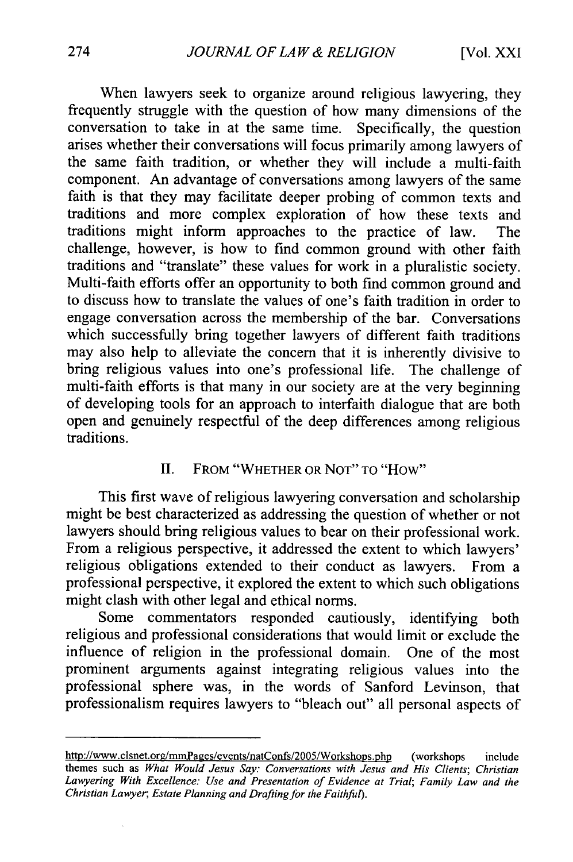When lawyers seek to organize around religious lawyering, they frequently struggle with the question of how many dimensions of the conversation to take in at the same time. Specifically, the question arises whether their conversations will focus primarily among lawyers of the same faith tradition, or whether they will include a multi-faith component. An advantage of conversations among lawyers of the same faith is that they may facilitate deeper probing of common texts and traditions and more complex exploration of how these texts and traditions might inform approaches to the practice of law. The challenge, however, is how to find common ground with other faith traditions and "translate" these values for work in a pluralistic society. Multi-faith efforts offer an opportunity to both find common ground and to discuss how to translate the values of one's faith tradition in order to engage conversation across the membership of the bar. Conversations which successfully bring together lawyers of different faith traditions may also help to alleviate the concern that it is inherently divisive to bring religious values into one's professional life. The challenge of multi-faith efforts is that many in our society are at the very beginning of developing tools for an approach to interfaith dialogue that are both open and genuinely respectful of the deep differences among religious traditions.

## II. FROM "WHETHER OR NOT" TO "How"

This first wave of religious lawyering conversation and scholarship might be best characterized as addressing the question of whether or not lawyers should bring religious values to bear on their professional work. From a religious perspective, it addressed the extent to which lawyers' religious obligations extended to their conduct as lawyers. From a professional perspective, it explored the extent to which such obligations might clash with other legal and ethical norms.

Some commentators responded cautiously, identifying both religious and professional considerations that would limit or exclude the influence of religion in the professional domain. One of the most prominent arguments against integrating religious values into the professional sphere was, in the words of Sanford Levinson, that professionalism requires lawyers to "bleach out" all personal aspects of

http://www.clsnet.org/mmPages/events/natConfs/2005/Workshops.php (workshops include themes such as *What Would Jesus Say: Conversations with Jesus and His Clients; Christian Lawyering With Excellence: Use and Presentation of Evidence at Trial; Family Law and the Christian Lawyer; Estate Planning and Drafting for the Faithful).*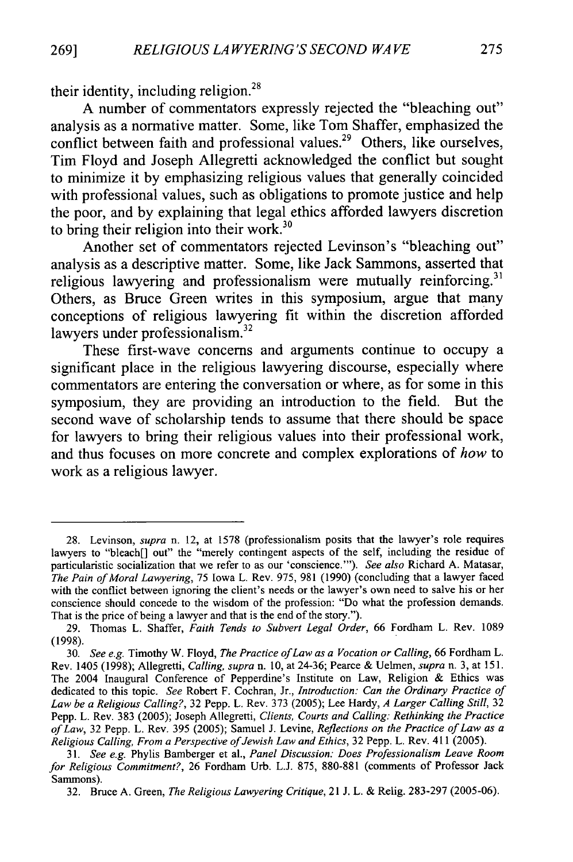their identity, including religion.<sup>28</sup>

**A** number of commentators expressly rejected the "bleaching out" analysis as a normative matter. Some, like Tom Shaffer, emphasized the conflict between faith and professional values.<sup>29</sup> Others, like ourselves, Tim Floyd and Joseph Allegretti acknowledged the conflict but sought to minimize it **by** emphasizing religious values that generally coincided with professional values, such as obligations to promote justice and help the poor, and **by** explaining that legal ethics afforded lawyers discretion to bring their religion into their work.<sup>30</sup>

Another set of commentators rejected Levinson's "bleaching out" analysis as a descriptive matter. Some, like Jack Sammons, asserted that religious lawyering and professionalism were mutually reinforcing.<sup>31</sup> Others, as Bruce Green writes in this symposium, argue that many conceptions of religious lawyering fit within the discretion afforded lawyers under professionalism.<sup>32</sup>

These first-wave concerns and arguments continue to occupy a significant place in the religious lawyering discourse, especially where commentators are entering the conversation or where, as for some in this symposium, they are providing an introduction to the field. But the second wave of scholarship tends to assume that there should be space for lawyers to bring their religious values into their professional work, and thus focuses on more concrete and complex explorations of *how* to work as a religious lawyer.

**<sup>28.</sup>** Levinson, *supra* n. 12, at **1578** (professionalism posits that the lawyer's role requires lawyers to "bleach[] out" the "merely contingent aspects of the self, including the residue of particularistic socialization that we refer to as our 'conscience."'). *See also* Richard **A.** Matasar, *The Pain of Moral Lawyering,* **75** Iowa L. Rev. **975, 981 (1990)** (concluding that a lawyer faced with the conflict between ignoring the client's needs or the lawyer's own need to salve his or her conscience should concede to the wisdom of the profession: "Do what the profession demands. That is the price of being a lawyer and that is the end of the story.").

**<sup>29.</sup>** Thomas L. Shaffer, *Faith Tends to Subvert Legal Order,* **66** Fordham L. Rev. **1089 (1998).**

**<sup>30.</sup>** *See e.g.* Timothy W. Floyd, *The Practice of Law as a Vocation or Calling,* **66** Fordham L. Rev. 1405 **(1998);** Allegretti, *Calling, supra* n. **10,** at 24-36; Pearce **&** Uelmen, *supra* n. **3,** at **151.** The 2004 Inaugural Conference of Pepperdine's Institute on Law, Religion **&** Ethics was dedicated to this topic. *See* Robert F. Cochran, Jr., *Introduction: Can the Ordinary Practice of Law be a Religious Calling?,* **32** Pepp. L. Rev. **373 (2005);** Lee Hardy, *A Larger Calling Still,* **32** Pepp. L. Rev. **383 (2005);** Joseph Allegretti, *Clients, Courts and Calling: Rethinking the Practice of Law,* **32** Pepp. L. Rev. **395 (2005);** Samuel **J.** Levine, *Reflections on the Practice of Law as a Religious Calling, From a Perspective of Jewish Law and Ethics,* **32** Pepp. L. Rev. 411 **(2005).**

*<sup>31.</sup> See e.g.* Phylis Bamberger et al., *Panel Discussion: Does Professionalism Leave Room for Religious Commitment?,* **26** Fordham Urb. **L.J. 875, 880-881** (comments of Professor Jack Sammons).

**<sup>32.</sup>** Bruce **A.** Green, *The Religious Lawyering Critique,* 21 **J.** L. **&** Relig. **283-297 (2005-06).**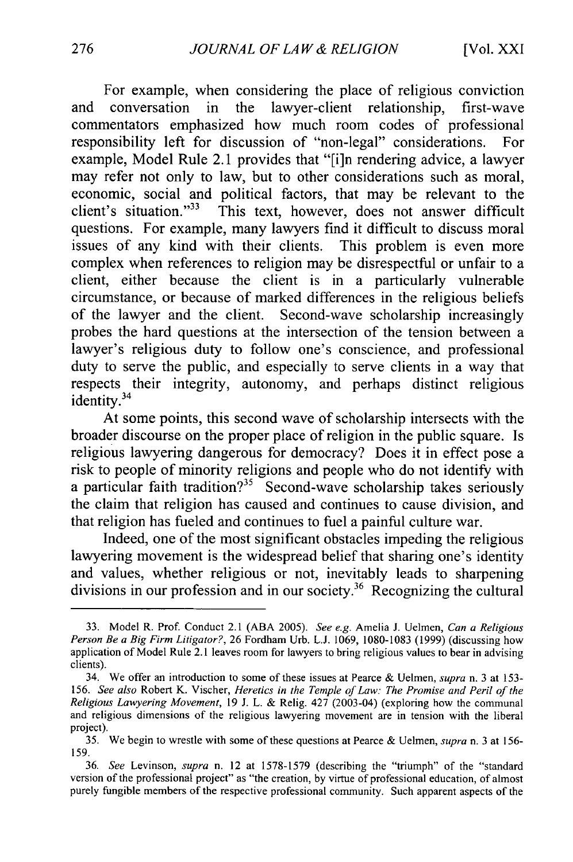For example, when considering the place of religious conviction and conversation in the lawyer-client relationship, first-wave commentators emphasized how much room codes of professional responsibility left for discussion of "non-legal" considerations. For example, Model Rule 2.1 provides that "[i]n rendering advice, a lawyer may refer not only to law, but to other considerations such as moral, economic, social and political factors, that may be relevant to the client's situation."<sup>33</sup> This text, however, does not answer difficult questions. For example, many lawyers find it difficult to discuss moral issues of any kind with their clients. This problem is even more complex when references to religion may be disrespectful or unfair to a client, either because the client is in a particularly vulnerable circumstance, or because of marked differences in the religious beliefs of the lawyer and the client. Second-wave scholarship increasingly probes the hard questions at the intersection of the tension between a lawyer's religious duty to follow one's conscience, and professional duty to serve the public, and especially to serve clients in a way that respects their integrity, autonomy, and perhaps distinct religious identity.<sup>34</sup>

At some points, this second wave of scholarship intersects with the broader discourse on the proper place of religion in the public square. Is religious lawyering dangerous for democracy? Does it in effect pose a risk to people of minority religions and people who do not identify with a particular faith tradition?<sup>35</sup> Second-wave scholarship takes seriously the claim that religion has caused and continues to cause division, and that religion has fueled and continues to fuel a painful culture war.

Indeed, one of the most significant obstacles impeding the religious lawyering movement is the widespread belief that sharing one's identity and values, whether religious or not, inevitably leads to sharpening divisions in our profession and in our society.36 Recognizing the cultural

<sup>33.</sup> Model R. Prof Conduct 2.1 (ABA 2005). *See e.g.* Amelia J. Uelmen, *Can a Religious Person Be a Big Firm Litigator?,* 26 Fordham Urb. L.J. 1069, 1080-1083 (1999) (discussing how application of Model Rule 2.1 leaves room for lawyers to bring religious values to bear in advising clients).

<sup>34.</sup> We offer an introduction to some of these issues at Pearce & Uelmen, *supra* n. 3 at 153- 156. *See also* Robert K. Vischer, *Heretics in the Temple of Law: The Promise and Peril of the Religious Lawyering Movement,* 19 J. L. & Relig. 427 (2003-04) (exploring how the communal and religious dimensions of the religious lawyering movement are in tension with the liberal project).

<sup>35.</sup> We begin to wrestle with some of these questions at Pearce & Uelmen, *supra* n. 3 at 156- 159.

<sup>36.</sup> *See* Levinson, *supra* n. 12 at 1578-1579 (describing the "triumph" of the "standard version of the professional project" as "the creation, by virtue of professional education, of almost purely fungible members of the respective professional community. Such apparent aspects of the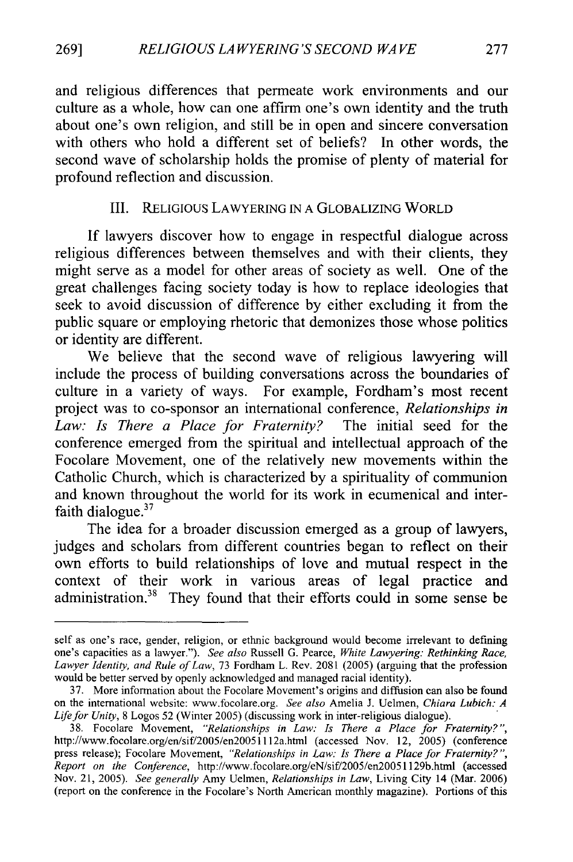and religious differences that permeate work environments and our culture as a whole, how can one affirm one's own identity and the truth about one's own religion, and still be in open and sincere conversation with others who hold a different set of beliefs? In other words, the second wave of scholarship holds the promise of plenty of material for profound reflection and discussion.

#### III. RELIGIOUS LAWYERING **IN A GLOBALIZING** WORLD

If lawyers discover how to engage in respectful dialogue across religious differences between themselves and with their clients, they might serve as a model for other areas of society as well. One of the great challenges facing society today is how to replace ideologies that seek to avoid discussion of difference by either excluding it from the public square or employing rhetoric that demonizes those whose politics or identity are different.

We believe that the second wave of religious lawyering will include the process of building conversations across the boundaries of culture in a variety of ways. For example, Fordham's most recent project was to co-sponsor an international conference, *Relationships in Law: Is There a Place for Fraternity?* The initial seed for the conference emerged from the spiritual and intellectual approach of the Focolare Movement, one of the relatively new movements within the Catholic Church, which is characterized by a spirituality of communion and known throughout the world for its work in ecumenical and interfaith dialogue.<sup>37</sup>

The idea for a broader discussion emerged as a group of lawyers, judges and scholars from different countries began to reflect on their own efforts to build relationships of love and mutual respect in the context of their work in various areas of legal practice and administration.<sup>38</sup> They found that their efforts could in some sense be

self as one's race, gender, religion, or ethnic background would become irrelevant to defining one's capacities as a lawyer."). *See also* Russell G. Pearce, *White Lawyering: Rethinking Race, Lawyer Identity, and Rule of Law,* 73 Fordham L. Rev. 2081 (2005) (arguing that the profession would be better served by openly acknowledged and managed racial identity).

<sup>37.</sup> More information about the Focolare Movement's origins and diffusion can also be found on the international website: www.focolare.org. *See also* Amelia J. Uelmen, *Chiara Lubich: A* Life for Unity, 8 Logos 52 (Winter 2005) (discussing work in inter-religious dialogue).

<sup>38.</sup> Focolare Movement, *"Relationships in Law: Is There a Place for Fraternity?",* http://www.focolare.org/en/sif/2005/en20051112a.html (accessed Nov. 12, 2005) (conference press release); Focolare Movement, *"Relationships in Law: Is There a Place for Fraternity? ", Report on the Conference,* http://www.focolare.org/eN/sif/2005/en2005ll29b.html (accessed Nov. 21, 2005). *See generally* Amy Uelmen, *Relationships in Law,* Living City 14 (Mar. 2006) (report on the conference in the Focolare's North American monthly magazine). Portions of this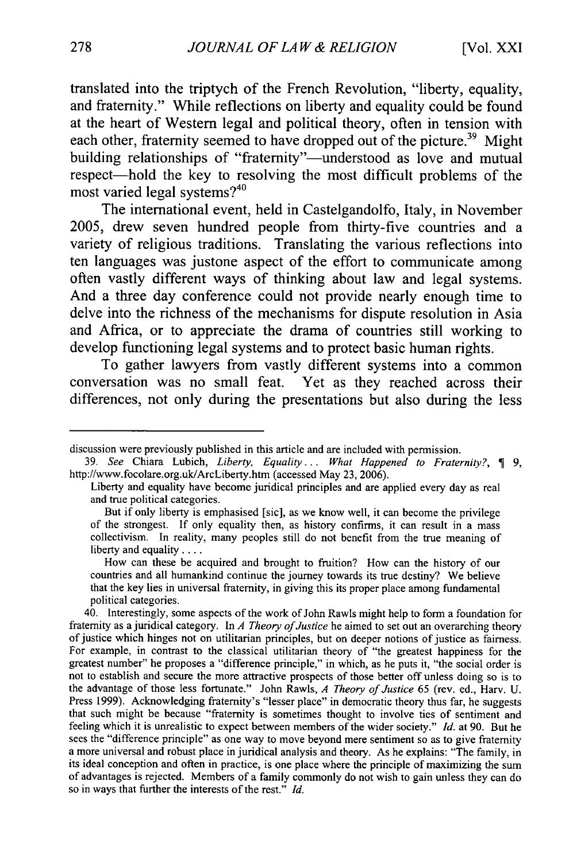translated into the triptych of the French Revolution, "liberty, equality, and fraternity." While reflections on liberty and equality could be found at the heart of Western legal and political theory, often in tension with each other, fraternity seemed to have dropped out of the picture.<sup>39</sup> Might building relationships of "fraternity"--understood as love and mutual respect—hold the key to resolving the most difficult problems of the most varied legal systems?<sup>40</sup>

The international event, held in Castelgandolfo, Italy, in November **2005,** drew seven hundred people from thirty-five countries and a variety of religious traditions. Translating the various reflections into ten languages was justone aspect of the effort to communicate among often vastly different ways of thinking about law and legal systems. And a three day conference could not provide nearly enough time to delve into the richness of the mechanisms for dispute resolution in Asia and Africa, or to appreciate the drama of countries still working to develop functioning legal systems and to protect basic human rights.

To gather lawyers from vastly different systems into a common conversation was no small feat. Yet as they reached across their differences, not only during the presentations but also during the less

discussion were previously published in this article and are included with permission.

<sup>39.</sup> *See* Chiara Lubich, *Liberty, Equality... What Happened to Fraternity?, 9,* http://www.focolare.org.uk/ArcLiberty.htm (accessed May 23, 2006).

Liberty and equality have become juridical principles and are applied every day as real and true political categories.

But if only liberty is emphasised [sic], as we know well, it can become the privilege of the strongest. If only equality then, as history confirms, it can result in a mass collectivism. In reality, many peoples still do not benefit from the true meaning of liberty and equality **....**

How can these be acquired and brought to fruition? How can the history of our countries and all humankind continue the journey towards its true destiny? We believe that the key lies in universal fraternity, in giving this its proper place among fundamental political categories.

<sup>40.</sup> Interestingly, some aspects of the work of John Rawls might help to form a foundation for fraternity as a juridical category. In *A Theory of Justice* he aimed to set out an overarching theory of justice which hinges not on utilitarian principles, but on deeper notions of justice as fairness. For example, in contrast to the classical utilitarian theory of "the greatest happiness for the greatest number" he proposes a "difference principle," in which, as he puts it, "the social order is not to establish and secure the more attractive prospects of those better off unless doing so is to the advantage of those less fortunate." John Rawls, *A Theory of Justice* 65 (rev. ed., Harv. U. Press 1999). Acknowledging fraternity's "lesser place" in democratic theory thus far, he suggests that such might be because "fraternity is sometimes thought to involve ties of sentiment and feeling which it is unrealistic to expect between members of the wider society." *Id.* at 90. But he sees the "difference principle" as one way to move beyond mere sentiment so as to give fraternity a more universal and robust place in juridical analysis and theory. As he explains: "The family, in its ideal conception and often in practice, is one place where the principle of maximizing the sum of advantages is rejected. Members of a family commonly do not wish to gain unless they can do so in ways that further the interests of the rest." *Id.*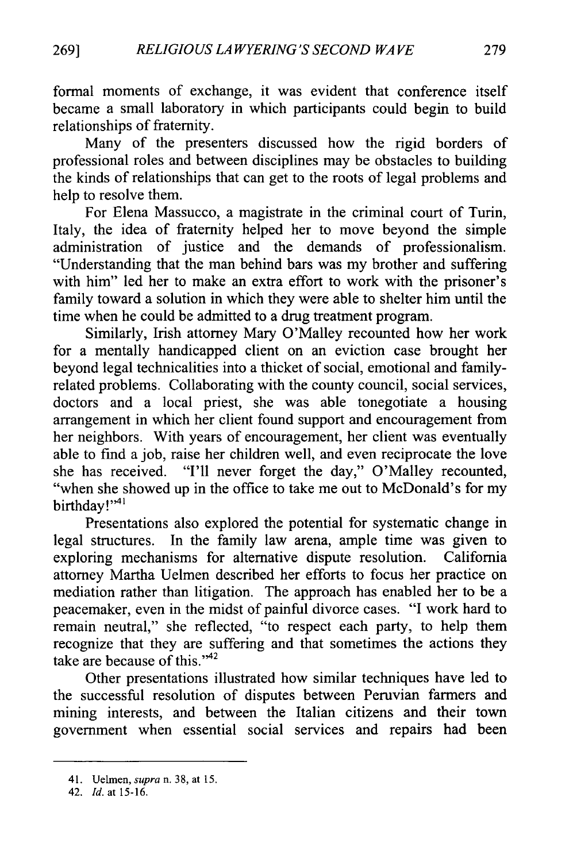formal moments of exchange, it was evident that conference itself became a small laboratory in which participants could begin to build relationships of fraternity.

Many of the presenters discussed how the rigid borders of professional roles and between disciplines may be obstacles to building the kinds of relationships that can get to the roots of legal problems and help to resolve them.

For Elena Massucco, a magistrate in the criminal court of Turin, Italy, the idea of fraternity helped her to move beyond the simple administration of justice and the demands of professionalism. "Understanding that the man behind bars was my brother and suffering with him" led her to make an extra effort to work with the prisoner's family toward a solution in which they were able to shelter him until the time when he could be admitted to a drug treatment program.

Similarly, Irish attorney Mary O'Malley recounted how her work for a mentally handicapped client on an eviction case brought her beyond legal technicalities into a thicket of social, emotional and familyrelated problems. Collaborating with the county council, social services, doctors and a local priest, she was able tonegotiate a housing arrangement in which her client found support and encouragement from her neighbors. With years of encouragement, her client was eventually able to find a job, raise her children well, and even reciprocate the love she has received. "I'll never forget the day," O'Malley recounted, "when she showed up in the office to take me out to McDonald's for my birthday!"<sup>41</sup>

Presentations also explored the potential for systematic change in legal structures. In the family law arena, ample time was given to exploring mechanisms for alternative dispute resolution. California attorney Martha Uelmen described her efforts to focus her practice on mediation rather than litigation. The approach has enabled her to be a peacemaker, even in the midst of painful divorce cases. "I work hard to remain neutral," she reflected, "to respect each party, to help them recognize that they are suffering and that sometimes the actions they take are because of this."<sup>42</sup>

Other presentations illustrated how similar techniques have led to the successful resolution of disputes between Peruvian farmers and mining interests, and between the Italian citizens and their town government when essential social services and repairs had been

<sup>41.</sup> Uelmen, *supra* n. 38, at 15.

<sup>42.</sup> *Id.* at 15-16.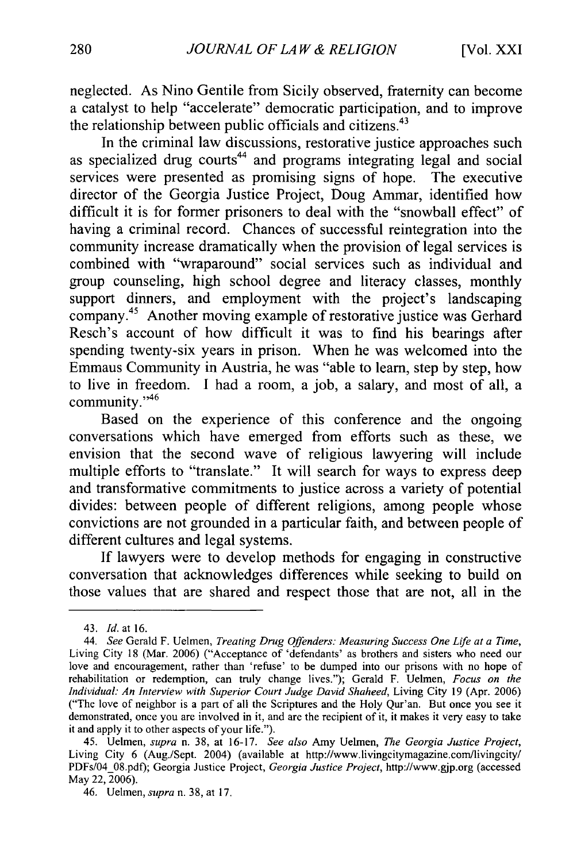neglected. As Nino Gentile from Sicily observed, fraternity can become a catalyst to help "accelerate" democratic participation, and to improve the relationship between public officials and citizens.<sup>43</sup>

In the criminal law discussions, restorative justice approaches such as specialized drug courts<sup>44</sup> and programs integrating legal and social services were presented as promising signs of hope. The executive director of the Georgia Justice Project, Doug Ammar, identified how difficult it is for former prisoners to deal with the "snowball effect" of having a criminal record. Chances of successful reintegration into the community increase dramatically when the provision of legal services is combined with "wraparound" social services such as individual and group counseling, high school degree and literacy classes, monthly support dinners, and employment with the project's landscaping company. 45 Another moving example of restorative justice was Gerhard Resch's account of how difficult it was to find his bearings after spending twenty-six years in prison. When he was welcomed into the Emmaus Community in Austria, he was "able to learn, step **by** step, how to live in freedom. **I** had a room, a **job,** a salary, and most of all, a community. $^{146}$ 

Based on the experience of this conference and the ongoing conversations which have emerged from efforts such as these, we envision that the second wave of religious lawyering will include multiple efforts to "translate." It will search for ways to express deep and transformative commitments to justice across a variety of potential divides: between people of different religions, among people whose convictions are not grounded in a particular faith, and between people of different cultures and legal systems.

**If** lawyers were to develop methods for engaging in constructive conversation that acknowledges differences while seeking to build on those values that are shared and respect those that are not, all in the

<sup>43.</sup> *Id.* at **16.**

*<sup>44.</sup> See* Gerald F. Uelmen, *Treating Drug Offenders: Measuring Success One Life at a Time,* Living City **18** (Mar. **2006)** ("Acceptance of 'defendants' as brothers and sisters who need our love and encouragement, rather than 'refuse' to be dumped into our prisons with no hope of rehabilitation or redemption, can truly change lives."); Gerald F. Uelmen, *Focus on the Individual: An Interview with Superior Court Judge David Shaheed,* Living City **19** (Apr. **2006)** ("The love of neighbor is a part of all the Scriptures and the Holy Qur'an. But once you see it demonstrated, once you are involved in it, and are the recipient of it, it makes it very easy to take it and apply it to other aspects of your life.").

<sup>45.</sup> Uelmen, *supra* n. **38,** at **16-17.** *See also* Amy Uelmen, *The Georgia Justice Project,* Living City **6** (Aug./Sept. 2004) (available at http://www.livingcitymagazine.com/livingcity/ PDFs/04\_08.pdf); Georgia Justice Project, *Georgia Justice Project,* http://www.gjp.org (accessed May 22, **2006).**

<sup>46.</sup> Uelmen, *supra* n. **38,** at **17.**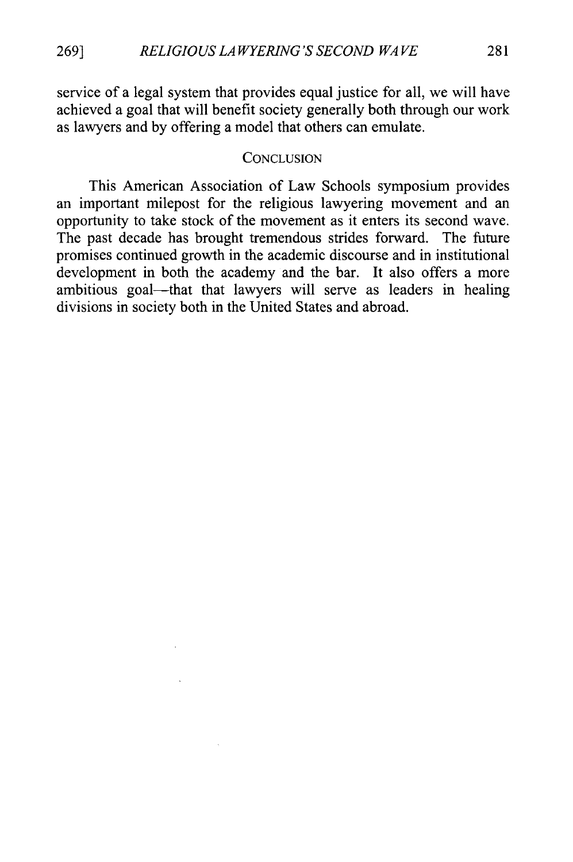service of a legal system that provides equal justice for all, we will have achieved a goal that will benefit society generally both through our work as lawyers and by offering a model that others can emulate.

#### **CONCLUSION**

This American Association of Law Schools symposium provides an important milepost for the religious lawyering movement and an opportunity to take stock of the movement as it enters its second wave. The past decade has brought tremendous strides forward. The future promises continued growth in the academic discourse and in institutional development in both the academy and the bar. It also offers a more ambitious goal-that that lawyers will serve as leaders in healing divisions in society both in the United States and abroad.